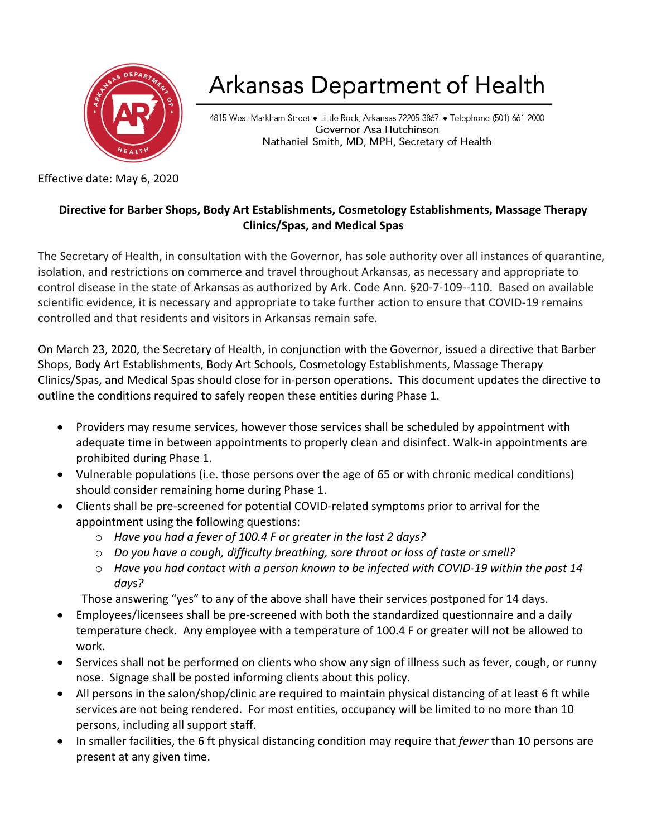

## Arkansas Department of Health

4815 West Markham Street • Little Rock, Arkansas 72205-3867 • Telephone (501) 661-2000 Governor Asa Hutchinson Nathaniel Smith, MD, MPH, Secretary of Health

Effective date: May 6, 2020

## **Directive for Barber Shops, Body Art Establishments, Cosmetology Establishments, Massage Therapy Clinics/Spas, and Medical Spas**

The Secretary of Health, in consultation with the Governor, has sole authority over all instances of quarantine, isolation, and restrictions on commerce and travel throughout Arkansas, as necessary and appropriate to control disease in the state of Arkansas as authorized by Ark. Code Ann. §20-7-109--110. Based on available scientific evidence, it is necessary and appropriate to take further action to ensure that COVID-19 remains controlled and that residents and visitors in Arkansas remain safe.

On March 23, 2020, the Secretary of Health, in conjunction with the Governor, issued a directive that Barber Shops, Body Art Establishments, Body Art Schools, Cosmetology Establishments, Massage Therapy Clinics/Spas, and Medical Spas should close for in-person operations. This document updates the directive to outline the conditions required to safely reopen these entities during Phase 1.

- Providers may resume services, however those services shall be scheduled by appointment with adequate time in between appointments to properly clean and disinfect. Walk-in appointments are prohibited during Phase 1.
- Vulnerable populations (i.e. those persons over the age of 65 or with chronic medical conditions) should consider remaining home during Phase 1.
- Clients shall be pre-screened for potential COVID-related symptoms prior to arrival for the appointment using the following questions:
	- o *Have you had a fever of 100.4 F or greater in the last 2 days?*
	- o *Do you have a cough, difficulty breathing, sore throat or loss of taste or smell?*
	- o *Have you had contact with a person known to be infected with COVID-19 within the past 14 day*s*?*

Those answering "yes" to any of the above shall have their services postponed for 14 days.

- Employees/licensees shall be pre-screened with both the standardized questionnaire and a daily temperature check. Any employee with a temperature of 100.4 F or greater will not be allowed to work.
- Services shall not be performed on clients who show any sign of illness such as fever, cough, or runny nose. Signage shall be posted informing clients about this policy.
- All persons in the salon/shop/clinic are required to maintain physical distancing of at least 6 ft while services are not being rendered. For most entities, occupancy will be limited to no more than 10 persons, including all support staff.
- In smaller facilities, the 6 ft physical distancing condition may require that *fewer* than 10 persons are present at any given time.